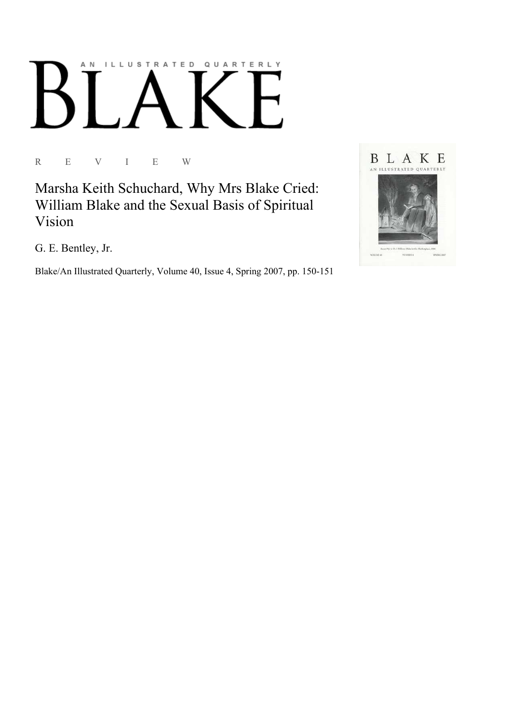# AN ILLUSTRATED QUARTERLY

R E V I E W

Marsha Keith Schuchard, Why Mrs Blake Cried: William Blake and the Sexual Basis of Spiritual Vision

G. E. Bentley, Jr.

Blake/An Illustrated Quarterly, Volume 40, Issue 4, Spring 2007, pp. 150-151

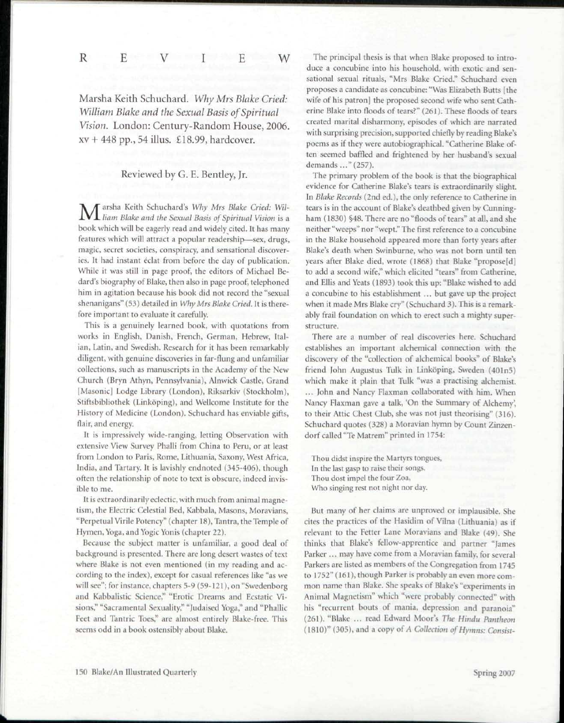R E V I E W

Marsha Keith Schuchard. *Why Mrs Blake Cried: William Blake and the Sexual Basis of Spiritual Vision.* London: Century-Random House, 2006. xv + 448 pp., 54 illus. £18.99, hardcover.

## Reviewed by G. E. Bentley, Jr.

Marsha Keith Schuchard's *Why Mrs Blake Cried: Wil-liam Blake and the Sexual Basis of Spiritual Vision* is a book which will be eagerly read and widely cited. It has many features which will attract a popular readership—sex, drugs, magic, secret societies, conspiracy, and sensational discoveries. It had instant éclat from before the day of publication. While it was still in page proof, the editors of Michael Bedard's biography of Blake, then also in page proof, telephoned him in agitation because his book did not record the "sexual shenanigans" (53) detailed in *Why Mrs Blake Cried.* It is therefore important to evaluate it carefully.

This is a genuinely learned book, with quotations from works in English, Danish, French, German, Hebrew, Italian, Latin, and Swedish. Research for it has been remarkably diligent, with genuine discoveries in far-flung and unfamiliar collections, such as manuscripts in the Academy of the New Church (Bryn Athyn, Pennsylvania), Alnwick Castle, Grand [Masonic] Lodge Library (London), Riksarkiv (Stockholm), Stiftsbibliothek (Linkoping), and Wellcome Institute for the History of Medicine (London). Schuchard has enviable gifts, flair, and energy.

It is impressively wide-ranging, letting Observation with extensive View Survey Phalli from China to Peru, or at least from London to Paris, Rome, Lithuania, Saxony, West Africa, India, and Tartary. It is lavishly endnoted (345-406), though often the relationship of note to text is obscure, indeed invisible to me.

It is extraordinarily eclectic, with much from animal magnetism, the Electric Celestial Bed, Kabbala, Masons, Moravians, "Perpetual Virile Potency" (chapter 18), Tantra, the Temple of Hymen, Yoga, and Yogic Yonis (chapter 22).

Because the subject matter is unfamiliar, a good deal of background is presented. There are long desert wastes of text where Blake is not even mentioned (in my reading and according to the index), except for casual references like "as we will see"; for instance, chapters 5-9 (59-121), on "Swedenborg and Kabbalistic Science," "Erotic Dreams and Ecstatic Visions," "Sacramental Sexuality," "Judaised Yoga," and "Phallic Feet and Tantric Toes," are almost entirely Blake-free. This seems odd in a book ostensibly about Blake.

The principal thesis is that when Blake proposed to introduce a concubine into his household, with exotic and sensational sexual rituals, "Mrs Blake Cried." Schuchard even proposes a candidate as concubine: "Was Elizabeth Butts [the wife of his patron] the proposed second wife who sent Catherine Blake into floods of tears?" (261). These floods of tears created marital disharmony, episodes of which are narrated with surprising precision, supported chiefly by reading Blake's poems as if they were autobiographical. "Catherine Blake often seemed baffled and frightened by her husband's sexual demands ..." (257).

The primary problem of the book is that the biographical evidence for Catherine Blake's tears is extraordinarily slight. In *Blake Records* (2nd ed.), the only reference to Catherine in tears is in the account of Blake's deathbed given by Cunningham (1830) §48. There are no "floods of tears" at all, and she neither "weeps" nor "wept." The first reference to a concubine in the Blake household appeared more than forty years after Blake's death when Swinburne, who was not born until ten years after Blake died, wrote (1868) that Blake "propose[d] to add a second wife," which elicited "tears" from Catherine, and Ellis and Yeats (1893) took this up: "Blake wished to add a concubine to his establishment ... but gave up the project when it made Mrs Blake cry" (Schuchard 3). This is a remarkably frail foundation on which to erect such a mighty superstructure.

There are a number of real discoveries here. Schuchard establishes an important alchemical connection with the discovery of the "collection of alchemical books" of Blake's friend John Augustus Tulk in Linköping, Sweden (401n5) which make it plain that Tulk "was a practising alchemist. ... John and Nancy Flaxman collaborated with him. When Nancy Flaxman gave a talk, 'On the Summary of Alchemy', to their Attic Chest Club, she was not just theorising" (316). Schuchard quotes (328) a Moravian hymn by Count Zinzendorf called "Te Matrem" printed in 1754:

Thou didst inspire the Martyrs tongues. In the last gasp to raise their songs. Thou dost impel the four Zoa, Who singing rest not night nor day.

But many of her claims are unproved or implausible. She cites the practices of the Hasidim of Vilna (Lithuania) as if relevant to the Fetter Lane Moravians and Blake (49). She thinks that Blake's fellow-apprentice and partner "James Parker ... may have come from a Moravian family, for several Parkers are listed as members of the Congregation from 1745 to 1752" (161), though Parker is probably an even more common name than Blake. She speaks of Blake's "experiments in Animal Magnetism" which "were probably connected" with his "recurrent bouts of mania, depression and paranoia" (261). "Blake ... read Edward Moor's *The Hindu Pantheon*  (1810)" (305), and a copy of *A Collection of Hymns: Consist-*